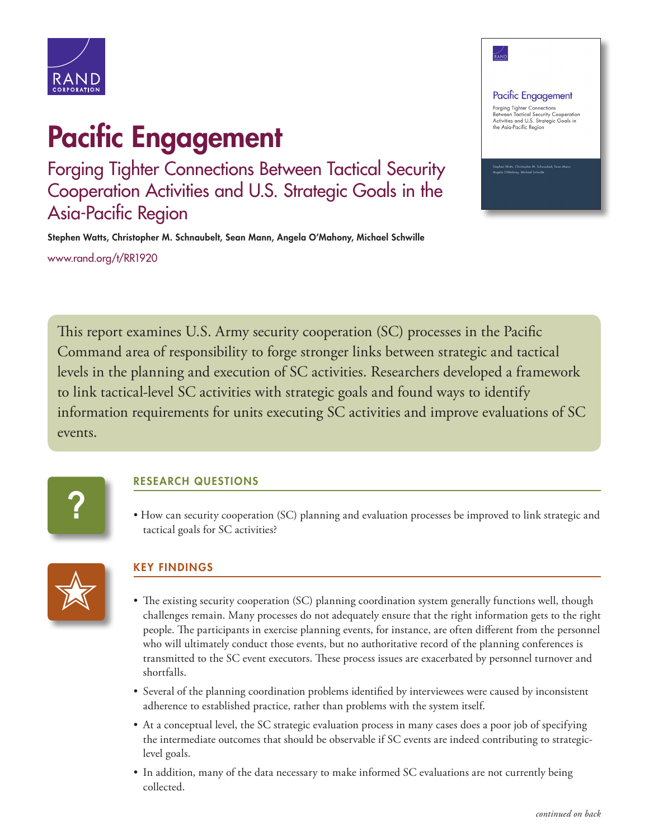

# Pacific Engagement

Forging Tighter Connections Between Tactical Security Cooperation Activities and U.S. Strategic Goals in the Asia-Pacific Region

Stephen Watts, Christopher M. Schnaubelt, Sean Mann, Angela O'Mahony, Michael Schwille [www.rand.org/t/RR1920](http://www.rand.org/t/RR1920)

#### Pacific Engagement

–⁄<br>Rani

Forging Tighter Connections<br>Between Tactical Security Cooperation<br>Activities and U.S. Strategic Goals in<br>the Asia-Pacific Region

This report examines U.S. Army security cooperation (SC) processes in the Pacific Command area of responsibility to forge stronger links between strategic and tactical levels in the planning and execution of SC activities. Researchers developed a framework to link tactical-level SC activities with strategic goals and found ways to identify information requirements for units executing SC activities and improve evaluations of SC events.



## RESEARCH QUESTIONS

• How can security cooperation (SC) planning and evaluation processes be improved to link strategic and tactical goals for SC activities?



## KEY FINDINGS

- The existing security cooperation (SC) planning coordination system generally functions well, though challenges remain. Many processes do not adequately ensure that the right information gets to the right people. The participants in exercise planning events, for instance, are often different from the personnel who will ultimately conduct those events, but no authoritative record of the planning conferences is transmitted to the SC event executors. These process issues are exacerbated by personnel turnover and shortfalls.
- Several of the planning coordination problems identified by interviewees were caused by inconsistent adherence to established practice, rather than problems with the system itself.
- At a conceptual level, the SC strategic evaluation process in many cases does a poor job of specifying the intermediate outcomes that should be observable if SC events are indeed contributing to strategiclevel goals.
- In addition, many of the data necessary to make informed SC evaluations are not currently being collected.